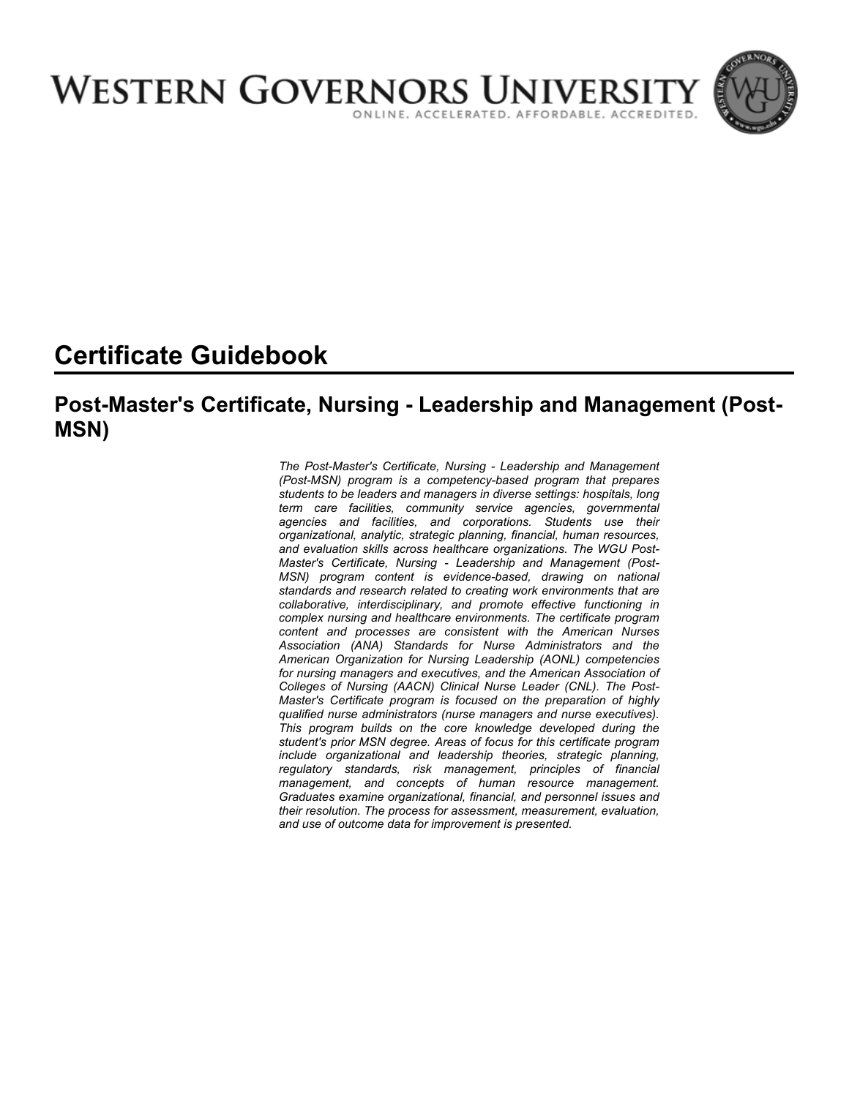

# **Certificate Guidebook**

# **Post-Master's Certificate, Nursing - Leadership and Management (Post-MSN)**

*The Post-Master's Certificate, Nursing - Leadership and Management (Post-MSN) program is a competency-based program that prepares students to be leaders and managers in diverse settings: hospitals, long term care facilities, community service agencies, governmental agencies and facilities, and corporations. Students use their organizational, analytic, strategic planning, financial, human resources, and evaluation skills across healthcare organizations. The WGU Post-Master's Certificate, Nursing - Leadership and Management (Post-MSN) program content is evidence-based, drawing on national standards and research related to creating work environments that are collaborative, interdisciplinary, and promote effective functioning in complex nursing and healthcare environments. The certificate program content and processes are consistent with the American Nurses Association (ANA) Standards for Nurse Administrators and the American Organization for Nursing Leadership (AONL) competencies for nursing managers and executives, and the American Association of Colleges of Nursing (AACN) Clinical Nurse Leader (CNL). The Post-Master's Certificate program is focused on the preparation of highly qualified nurse administrators (nurse managers and nurse executives). This program builds on the core knowledge developed during the student's prior MSN degree. Areas of focus for this certificate program include organizational and leadership theories, strategic planning, regulatory standards, risk management, principles of financial management, and concepts of human resource management. Graduates examine organizational, financial, and personnel issues and their resolution. The process for assessment, measurement, evaluation, and use of outcome data for improvement is presented.*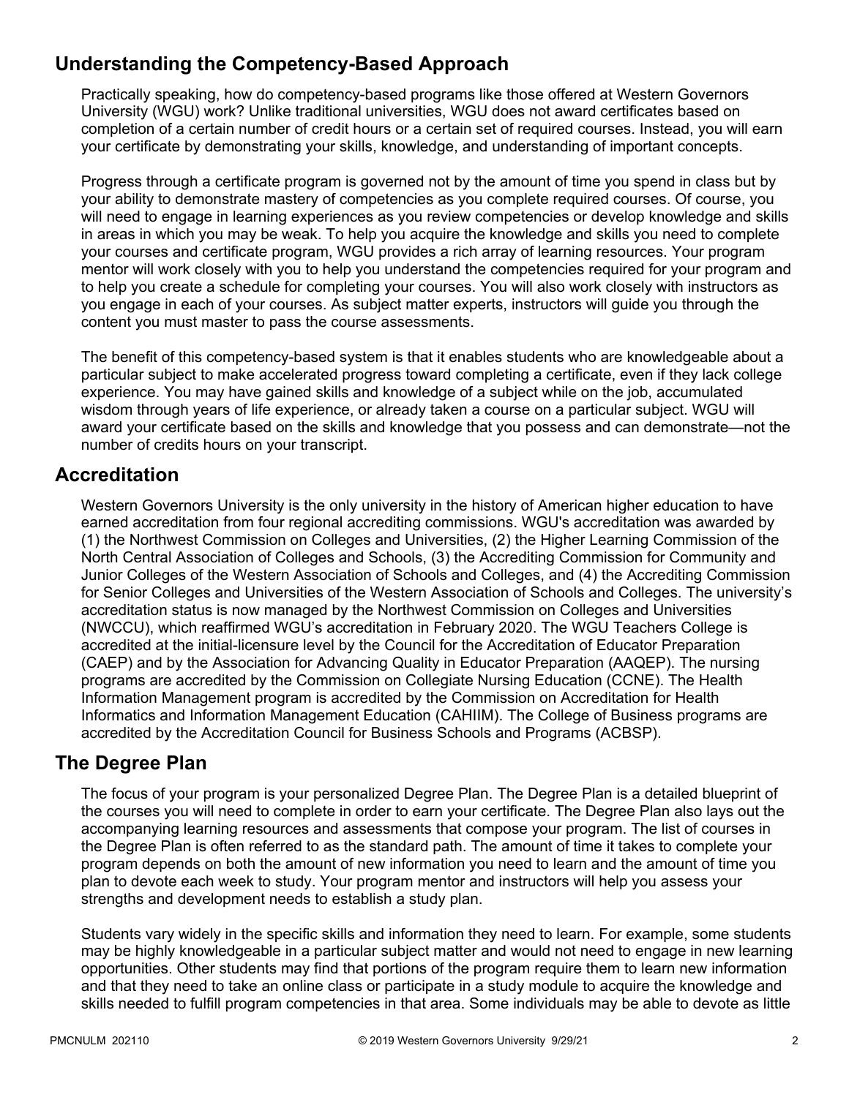# **Understanding the Competency-Based Approach**

Practically speaking, how do competency-based programs like those offered at Western Governors University (WGU) work? Unlike traditional universities, WGU does not award certificates based on completion of a certain number of credit hours or a certain set of required courses. Instead, you will earn your certificate by demonstrating your skills, knowledge, and understanding of important concepts.

Progress through a certificate program is governed not by the amount of time you spend in class but by your ability to demonstrate mastery of competencies as you complete required courses. Of course, you will need to engage in learning experiences as you review competencies or develop knowledge and skills in areas in which you may be weak. To help you acquire the knowledge and skills you need to complete your courses and certificate program, WGU provides a rich array of learning resources. Your program mentor will work closely with you to help you understand the competencies required for your program and to help you create a schedule for completing your courses. You will also work closely with instructors as you engage in each of your courses. As subject matter experts, instructors will guide you through the content you must master to pass the course assessments.

The benefit of this competency-based system is that it enables students who are knowledgeable about a particular subject to make accelerated progress toward completing a certificate, even if they lack college experience. You may have gained skills and knowledge of a subject while on the job, accumulated wisdom through years of life experience, or already taken a course on a particular subject. WGU will award your certificate based on the skills and knowledge that you possess and can demonstrate—not the number of credits hours on your transcript.

# **Accreditation**

Western Governors University is the only university in the history of American higher education to have earned accreditation from four regional accrediting commissions. WGU's accreditation was awarded by (1) the Northwest Commission on Colleges and Universities, (2) the Higher Learning Commission of the North Central Association of Colleges and Schools, (3) the Accrediting Commission for Community and Junior Colleges of the Western Association of Schools and Colleges, and (4) the Accrediting Commission for Senior Colleges and Universities of the Western Association of Schools and Colleges. The university's accreditation status is now managed by the Northwest Commission on Colleges and Universities (NWCCU), which reaffirmed WGU's accreditation in February 2020. The WGU Teachers College is accredited at the initial-licensure level by the Council for the Accreditation of Educator Preparation (CAEP) and by the Association for Advancing Quality in Educator Preparation (AAQEP). The nursing programs are accredited by the Commission on Collegiate Nursing Education (CCNE). The Health Information Management program is accredited by the Commission on Accreditation for Health Informatics and Information Management Education (CAHIIM). The College of Business programs are accredited by the Accreditation Council for Business Schools and Programs (ACBSP).

### **The Degree Plan**

The focus of your program is your personalized Degree Plan. The Degree Plan is a detailed blueprint of the courses you will need to complete in order to earn your certificate. The Degree Plan also lays out the accompanying learning resources and assessments that compose your program. The list of courses in the Degree Plan is often referred to as the standard path. The amount of time it takes to complete your program depends on both the amount of new information you need to learn and the amount of time you plan to devote each week to study. Your program mentor and instructors will help you assess your strengths and development needs to establish a study plan.

Students vary widely in the specific skills and information they need to learn. For example, some students may be highly knowledgeable in a particular subject matter and would not need to engage in new learning opportunities. Other students may find that portions of the program require them to learn new information and that they need to take an online class or participate in a study module to acquire the knowledge and skills needed to fulfill program competencies in that area. Some individuals may be able to devote as little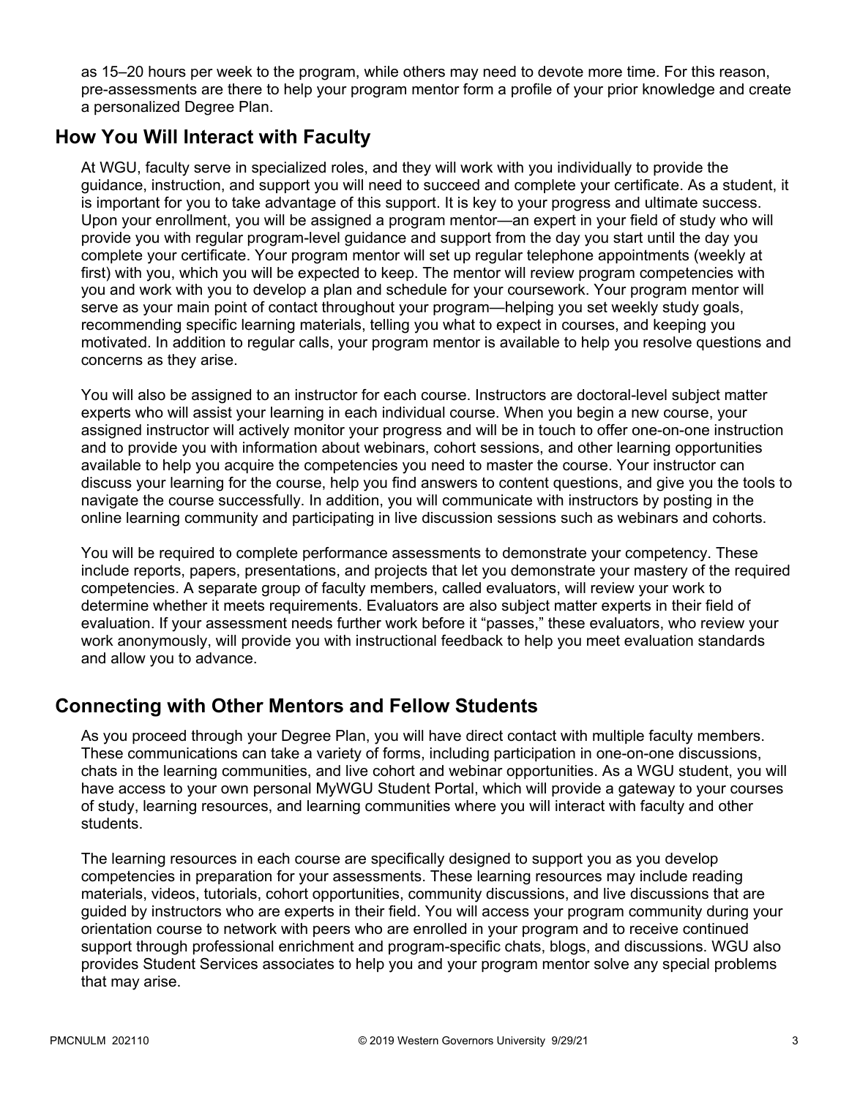as 15–20 hours per week to the program, while others may need to devote more time. For this reason, pre-assessments are there to help your program mentor form a profile of your prior knowledge and create a personalized Degree Plan.

# **How You Will Interact with Faculty**

At WGU, faculty serve in specialized roles, and they will work with you individually to provide the guidance, instruction, and support you will need to succeed and complete your certificate. As a student, it is important for you to take advantage of this support. It is key to your progress and ultimate success. Upon your enrollment, you will be assigned a program mentor—an expert in your field of study who will provide you with regular program-level guidance and support from the day you start until the day you complete your certificate. Your program mentor will set up regular telephone appointments (weekly at first) with you, which you will be expected to keep. The mentor will review program competencies with you and work with you to develop a plan and schedule for your coursework. Your program mentor will serve as your main point of contact throughout your program—helping you set weekly study goals, recommending specific learning materials, telling you what to expect in courses, and keeping you motivated. In addition to regular calls, your program mentor is available to help you resolve questions and concerns as they arise.

You will also be assigned to an instructor for each course. Instructors are doctoral-level subject matter experts who will assist your learning in each individual course. When you begin a new course, your assigned instructor will actively monitor your progress and will be in touch to offer one-on-one instruction and to provide you with information about webinars, cohort sessions, and other learning opportunities available to help you acquire the competencies you need to master the course. Your instructor can discuss your learning for the course, help you find answers to content questions, and give you the tools to navigate the course successfully. In addition, you will communicate with instructors by posting in the online learning community and participating in live discussion sessions such as webinars and cohorts.

You will be required to complete performance assessments to demonstrate your competency. These include reports, papers, presentations, and projects that let you demonstrate your mastery of the required competencies. A separate group of faculty members, called evaluators, will review your work to determine whether it meets requirements. Evaluators are also subject matter experts in their field of evaluation. If your assessment needs further work before it "passes," these evaluators, who review your work anonymously, will provide you with instructional feedback to help you meet evaluation standards and allow you to advance.

# **Connecting with Other Mentors and Fellow Students**

As you proceed through your Degree Plan, you will have direct contact with multiple faculty members. These communications can take a variety of forms, including participation in one-on-one discussions, chats in the learning communities, and live cohort and webinar opportunities. As a WGU student, you will have access to your own personal MyWGU Student Portal, which will provide a gateway to your courses of study, learning resources, and learning communities where you will interact with faculty and other students.

The learning resources in each course are specifically designed to support you as you develop competencies in preparation for your assessments. These learning resources may include reading materials, videos, tutorials, cohort opportunities, community discussions, and live discussions that are guided by instructors who are experts in their field. You will access your program community during your orientation course to network with peers who are enrolled in your program and to receive continued support through professional enrichment and program-specific chats, blogs, and discussions. WGU also provides Student Services associates to help you and your program mentor solve any special problems that may arise.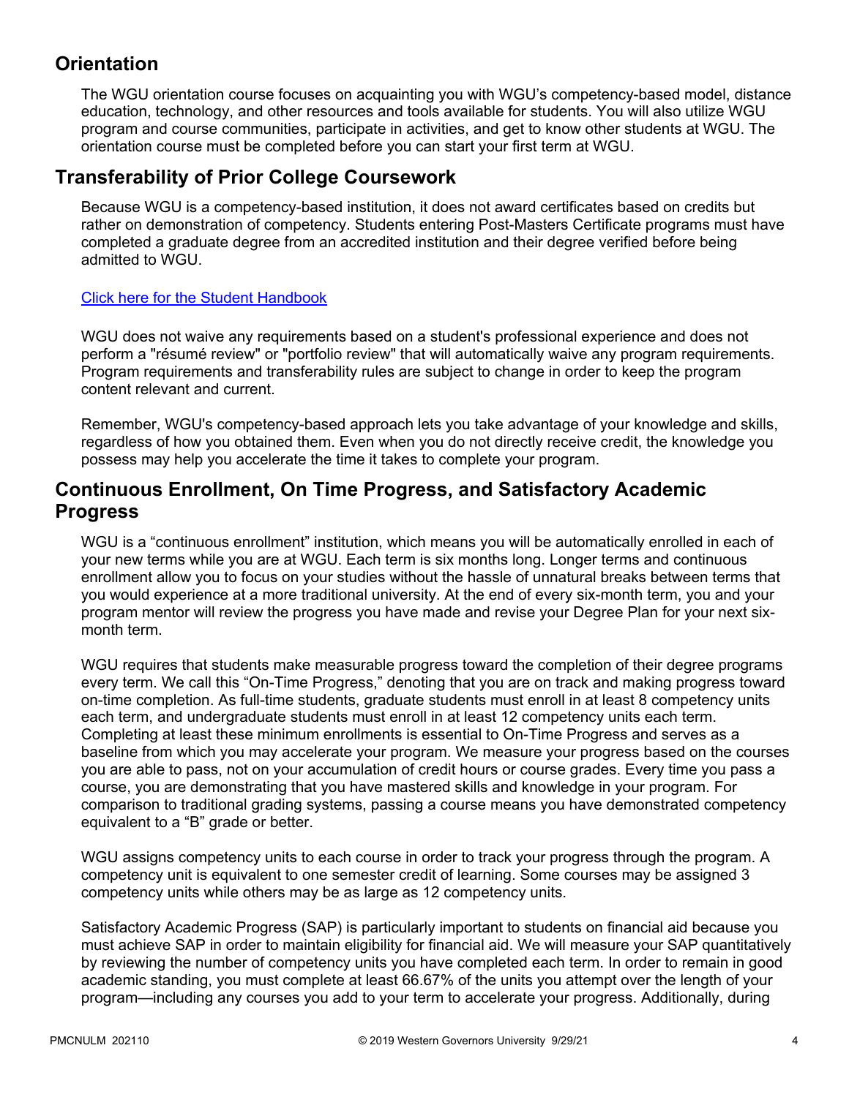# **Orientation**

The WGU orientation course focuses on acquainting you with WGU's competency-based model, distance education, technology, and other resources and tools available for students. You will also utilize WGU program and course communities, participate in activities, and get to know other students at WGU. The orientation course must be completed before you can start your first term at WGU.

# **Transferability of Prior College Coursework**

Because WGU is a competency-based institution, it does not award certificates based on credits but rather on demonstration of competency. Students entering Post-Masters Certificate programs must have completed a graduate degree from an accredited institution and their degree verified before being admitted to WGU.

### [Click here for the Student Handbook](http://cm.wgu.edu/)

WGU does not waive any requirements based on a student's professional experience and does not perform a "résumé review" or "portfolio review" that will automatically waive any program requirements. Program requirements and transferability rules are subject to change in order to keep the program content relevant and current.

Remember, WGU's competency-based approach lets you take advantage of your knowledge and skills, regardless of how you obtained them. Even when you do not directly receive credit, the knowledge you possess may help you accelerate the time it takes to complete your program.

## **Continuous Enrollment, On Time Progress, and Satisfactory Academic Progress**

WGU is a "continuous enrollment" institution, which means you will be automatically enrolled in each of your new terms while you are at WGU. Each term is six months long. Longer terms and continuous enrollment allow you to focus on your studies without the hassle of unnatural breaks between terms that you would experience at a more traditional university. At the end of every six-month term, you and your program mentor will review the progress you have made and revise your Degree Plan for your next sixmonth term.

WGU requires that students make measurable progress toward the completion of their degree programs every term. We call this "On-Time Progress," denoting that you are on track and making progress toward on-time completion. As full-time students, graduate students must enroll in at least 8 competency units each term, and undergraduate students must enroll in at least 12 competency units each term. Completing at least these minimum enrollments is essential to On-Time Progress and serves as a baseline from which you may accelerate your program. We measure your progress based on the courses you are able to pass, not on your accumulation of credit hours or course grades. Every time you pass a course, you are demonstrating that you have mastered skills and knowledge in your program. For comparison to traditional grading systems, passing a course means you have demonstrated competency equivalent to a "B" grade or better.

WGU assigns competency units to each course in order to track your progress through the program. A competency unit is equivalent to one semester credit of learning. Some courses may be assigned 3 competency units while others may be as large as 12 competency units.

Satisfactory Academic Progress (SAP) is particularly important to students on financial aid because you must achieve SAP in order to maintain eligibility for financial aid. We will measure your SAP quantitatively by reviewing the number of competency units you have completed each term. In order to remain in good academic standing, you must complete at least 66.67% of the units you attempt over the length of your program—including any courses you add to your term to accelerate your progress. Additionally, during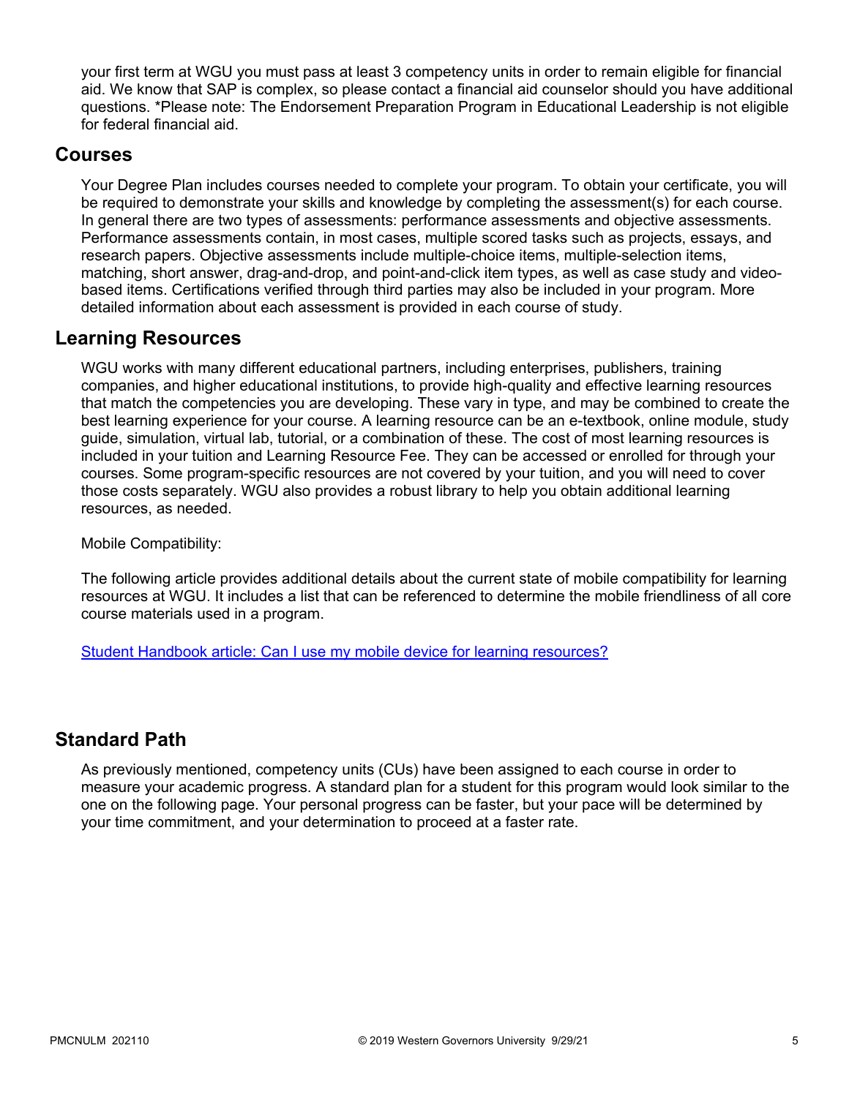your first term at WGU you must pass at least 3 competency units in order to remain eligible for financial aid. We know that SAP is complex, so please contact a financial aid counselor should you have additional questions. \*Please note: The Endorsement Preparation Program in Educational Leadership is not eligible for federal financial aid.

### **Courses**

Your Degree Plan includes courses needed to complete your program. To obtain your certificate, you will be required to demonstrate your skills and knowledge by completing the assessment(s) for each course. In general there are two types of assessments: performance assessments and objective assessments. Performance assessments contain, in most cases, multiple scored tasks such as projects, essays, and research papers. Objective assessments include multiple-choice items, multiple-selection items, matching, short answer, drag-and-drop, and point-and-click item types, as well as case study and videobased items. Certifications verified through third parties may also be included in your program. More detailed information about each assessment is provided in each course of study.

### **Learning Resources**

WGU works with many different educational partners, including enterprises, publishers, training companies, and higher educational institutions, to provide high-quality and effective learning resources that match the competencies you are developing. These vary in type, and may be combined to create the best learning experience for your course. A learning resource can be an e-textbook, online module, study guide, simulation, virtual lab, tutorial, or a combination of these. The cost of most learning resources is included in your tuition and Learning Resource Fee. They can be accessed or enrolled for through your courses. Some program-specific resources are not covered by your tuition, and you will need to cover those costs separately. WGU also provides a robust library to help you obtain additional learning resources, as needed.

Mobile Compatibility:

The following article provides additional details about the current state of mobile compatibility for learning resources at WGU. It includes a list that can be referenced to determine the mobile friendliness of all core course materials used in a program.

[Student Handbook article: Can I use my mobile device for learning resources?](https://cm.wgu.edu/t5/Frequently-Asked-Questions/Can-I-use-my-mobile-device-for-learning-resources/ta-p/396)

### **Standard Path**

As previously mentioned, competency units (CUs) have been assigned to each course in order to measure your academic progress. A standard plan for a student for this program would look similar to the one on the following page. Your personal progress can be faster, but your pace will be determined by your time commitment, and your determination to proceed at a faster rate.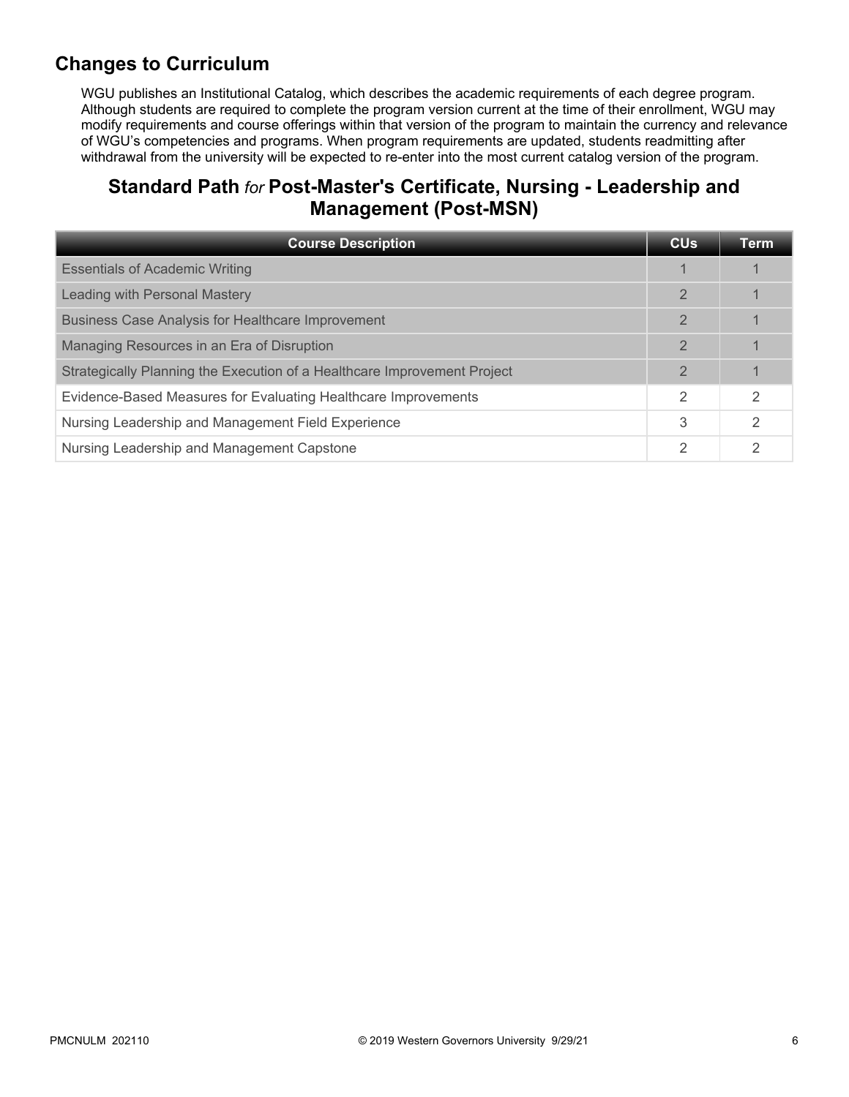# **Changes to Curriculum**

WGU publishes an Institutional Catalog, which describes the academic requirements of each degree program. Although students are required to complete the program version current at the time of their enrollment, WGU may modify requirements and course offerings within that version of the program to maintain the currency and relevance of WGU's competencies and programs. When program requirements are updated, students readmitting after withdrawal from the university will be expected to re-enter into the most current catalog version of the program.

# **Standard Path** *for* **Post-Master's Certificate, Nursing - Leadership and Management (Post-MSN)**

| <b>Course Description</b>                                                | <b>CU<sub>s</sub></b> | Term |
|--------------------------------------------------------------------------|-----------------------|------|
| <b>Essentials of Academic Writing</b>                                    |                       |      |
| Leading with Personal Mastery                                            | $\mathbf{2}$          |      |
| <b>Business Case Analysis for Healthcare Improvement</b>                 | $\mathbf{2}$          |      |
| Managing Resources in an Era of Disruption                               | $\overline{2}$        |      |
| Strategically Planning the Execution of a Healthcare Improvement Project | $\mathbf{2}$          |      |
| Evidence-Based Measures for Evaluating Healthcare Improvements           | 2                     | 2    |
| Nursing Leadership and Management Field Experience                       | 3                     | 2    |
| Nursing Leadership and Management Capstone                               | 2                     | っ    |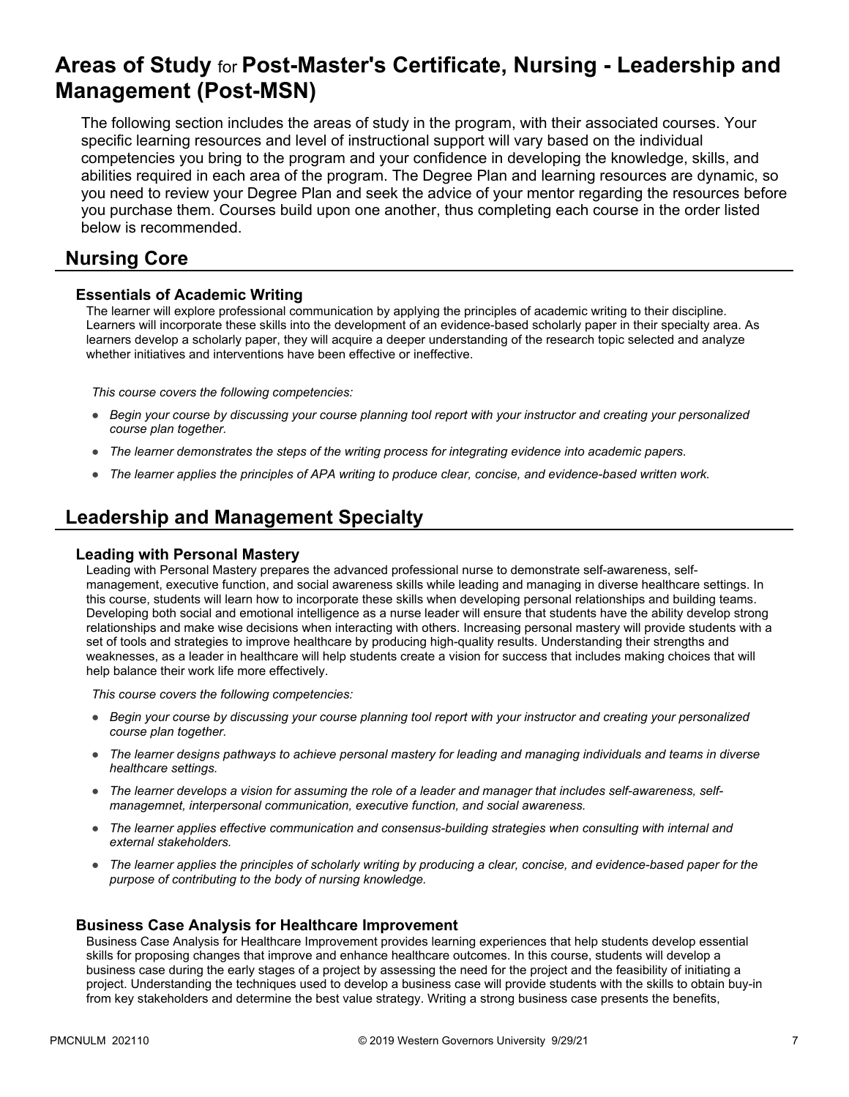# **Areas of Study** for **Post-Master's Certificate, Nursing - Leadership and Management (Post-MSN)**

The following section includes the areas of study in the program, with their associated courses. Your specific learning resources and level of instructional support will vary based on the individual competencies you bring to the program and your confidence in developing the knowledge, skills, and abilities required in each area of the program. The Degree Plan and learning resources are dynamic, so you need to review your Degree Plan and seek the advice of your mentor regarding the resources before you purchase them. Courses build upon one another, thus completing each course in the order listed below is recommended.

### **Nursing Core**

### **Essentials of Academic Writing**

The learner will explore professional communication by applying the principles of academic writing to their discipline. Learners will incorporate these skills into the development of an evidence-based scholarly paper in their specialty area. As learners develop a scholarly paper, they will acquire a deeper understanding of the research topic selected and analyze whether initiatives and interventions have been effective or ineffective.

*This course covers the following competencies:*

- *Begin your course by discussing your course planning tool report with your instructor and creating your personalized course plan together.*
- *The learner demonstrates the steps of the writing process for integrating evidence into academic papers.*
- *The learner applies the principles of APA writing to produce clear, concise, and evidence-based written work.*

# **Leadership and Management Specialty**

#### **Leading with Personal Mastery**

Leading with Personal Mastery prepares the advanced professional nurse to demonstrate self-awareness, selfmanagement, executive function, and social awareness skills while leading and managing in diverse healthcare settings. In this course, students will learn how to incorporate these skills when developing personal relationships and building teams. Developing both social and emotional intelligence as a nurse leader will ensure that students have the ability develop strong relationships and make wise decisions when interacting with others. Increasing personal mastery will provide students with a set of tools and strategies to improve healthcare by producing high-quality results. Understanding their strengths and weaknesses, as a leader in healthcare will help students create a vision for success that includes making choices that will help balance their work life more effectively.

*This course covers the following competencies:*

- *Begin your course by discussing your course planning tool report with your instructor and creating your personalized course plan together.*
- *The learner designs pathways to achieve personal mastery for leading and managing individuals and teams in diverse healthcare settings.*
- *The learner develops a vision for assuming the role of a leader and manager that includes self-awareness, selfmanagemnet, interpersonal communication, executive function, and social awareness.*
- *The learner applies effective communication and consensus-building strategies when consulting with internal and external stakeholders.*
- *The learner applies the principles of scholarly writing by producing a clear, concise, and evidence-based paper for the purpose of contributing to the body of nursing knowledge.*

#### **Business Case Analysis for Healthcare Improvement**

Business Case Analysis for Healthcare Improvement provides learning experiences that help students develop essential skills for proposing changes that improve and enhance healthcare outcomes. In this course, students will develop a business case during the early stages of a project by assessing the need for the project and the feasibility of initiating a project. Understanding the techniques used to develop a business case will provide students with the skills to obtain buy-in from key stakeholders and determine the best value strategy. Writing a strong business case presents the benefits,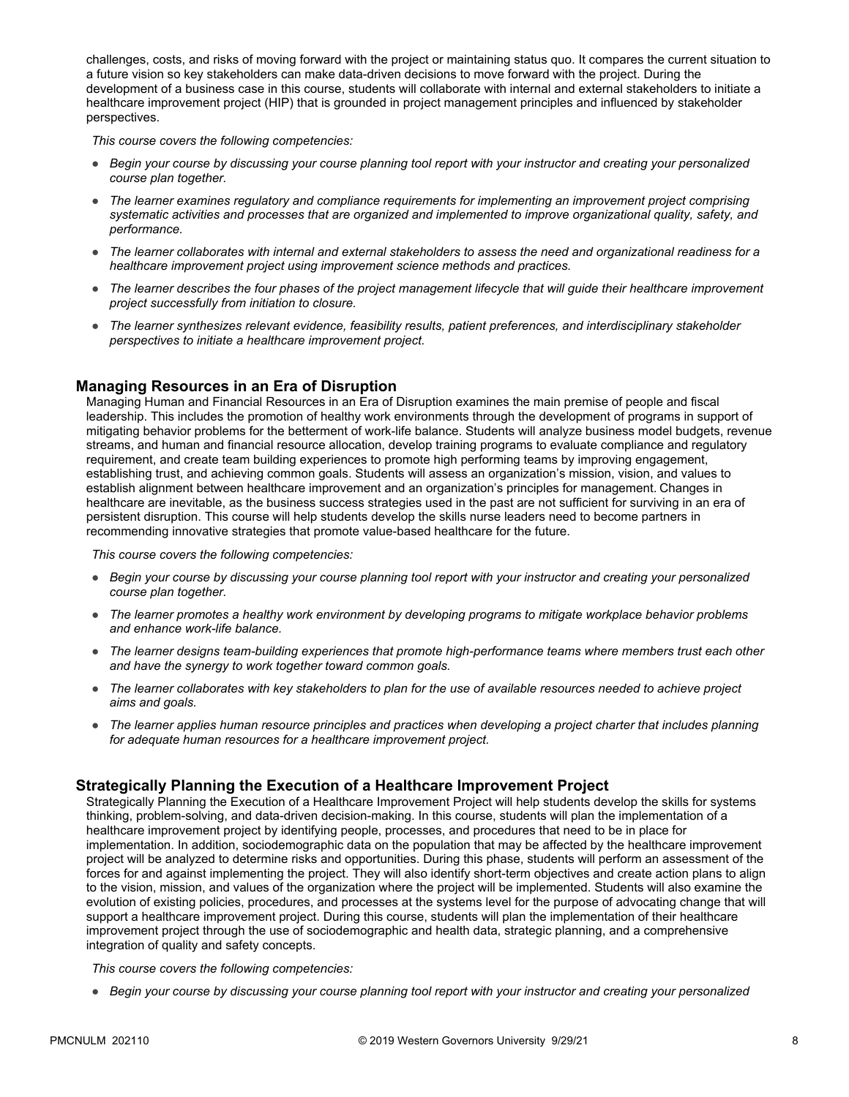challenges, costs, and risks of moving forward with the project or maintaining status quo. It compares the current situation to a future vision so key stakeholders can make data-driven decisions to move forward with the project. During the development of a business case in this course, students will collaborate with internal and external stakeholders to initiate a healthcare improvement project (HIP) that is grounded in project management principles and influenced by stakeholder perspectives.

*This course covers the following competencies:*

- *Begin your course by discussing your course planning tool report with your instructor and creating your personalized course plan together.*
- *The learner examines regulatory and compliance requirements for implementing an improvement project comprising systematic activities and processes that are organized and implemented to improve organizational quality, safety, and performance.*
- *The learner collaborates with internal and external stakeholders to assess the need and organizational readiness for a healthcare improvement project using improvement science methods and practices.*
- *The learner describes the four phases of the project management lifecycle that will guide their healthcare improvement project successfully from initiation to closure.*
- *The learner synthesizes relevant evidence, feasibility results, patient preferences, and interdisciplinary stakeholder perspectives to initiate a healthcare improvement project.*

### **Managing Resources in an Era of Disruption**

Managing Human and Financial Resources in an Era of Disruption examines the main premise of people and fiscal leadership. This includes the promotion of healthy work environments through the development of programs in support of mitigating behavior problems for the betterment of work-life balance. Students will analyze business model budgets, revenue streams, and human and financial resource allocation, develop training programs to evaluate compliance and regulatory requirement, and create team building experiences to promote high performing teams by improving engagement, establishing trust, and achieving common goals. Students will assess an organization's mission, vision, and values to establish alignment between healthcare improvement and an organization's principles for management. Changes in healthcare are inevitable, as the business success strategies used in the past are not sufficient for surviving in an era of persistent disruption. This course will help students develop the skills nurse leaders need to become partners in recommending innovative strategies that promote value-based healthcare for the future.

*This course covers the following competencies:*

- *Begin your course by discussing your course planning tool report with your instructor and creating your personalized course plan together.*
- *The learner promotes a healthy work environment by developing programs to mitigate workplace behavior problems and enhance work-life balance.*
- *The learner designs team-building experiences that promote high-performance teams where members trust each other and have the synergy to work together toward common goals.*
- *The learner collaborates with key stakeholders to plan for the use of available resources needed to achieve project aims and goals.*
- *The learner applies human resource principles and practices when developing a project charter that includes planning for adequate human resources for a healthcare improvement project.*

### **Strategically Planning the Execution of a Healthcare Improvement Project**

Strategically Planning the Execution of a Healthcare Improvement Project will help students develop the skills for systems thinking, problem-solving, and data-driven decision-making. In this course, students will plan the implementation of a healthcare improvement project by identifying people, processes, and procedures that need to be in place for implementation. In addition, sociodemographic data on the population that may be affected by the healthcare improvement project will be analyzed to determine risks and opportunities. During this phase, students will perform an assessment of the forces for and against implementing the project. They will also identify short-term objectives and create action plans to align to the vision, mission, and values of the organization where the project will be implemented. Students will also examine the evolution of existing policies, procedures, and processes at the systems level for the purpose of advocating change that will support a healthcare improvement project. During this course, students will plan the implementation of their healthcare improvement project through the use of sociodemographic and health data, strategic planning, and a comprehensive integration of quality and safety concepts.

*This course covers the following competencies:*

● *Begin your course by discussing your course planning tool report with your instructor and creating your personalized*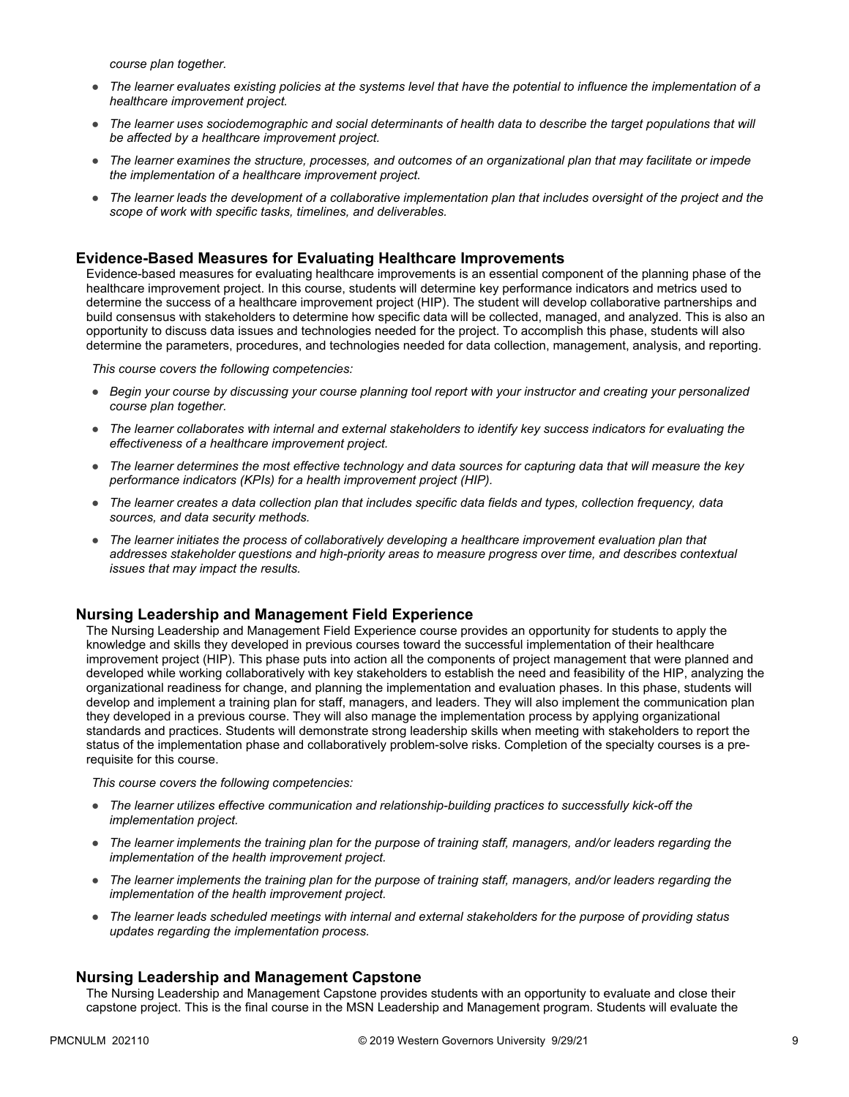*course plan together.*

- *The learner evaluates existing policies at the systems level that have the potential to influence the implementation of a healthcare improvement project.*
- The learner uses sociodemographic and social determinants of health data to describe the target populations that will *be affected by a healthcare improvement project.*
- *The learner examines the structure, processes, and outcomes of an organizational plan that may facilitate or impede the implementation of a healthcare improvement project.*
- *The learner leads the development of a collaborative implementation plan that includes oversight of the project and the scope of work with specific tasks, timelines, and deliverables.*

#### **Evidence-Based Measures for Evaluating Healthcare Improvements**

Evidence-based measures for evaluating healthcare improvements is an essential component of the planning phase of the healthcare improvement project. In this course, students will determine key performance indicators and metrics used to determine the success of a healthcare improvement project (HIP). The student will develop collaborative partnerships and build consensus with stakeholders to determine how specific data will be collected, managed, and analyzed. This is also an opportunity to discuss data issues and technologies needed for the project. To accomplish this phase, students will also determine the parameters, procedures, and technologies needed for data collection, management, analysis, and reporting.

*This course covers the following competencies:*

- *Begin your course by discussing your course planning tool report with your instructor and creating your personalized course plan together.*
- *The learner collaborates with internal and external stakeholders to identify key success indicators for evaluating the effectiveness of a healthcare improvement project.*
- *The learner determines the most effective technology and data sources for capturing data that will measure the key performance indicators (KPIs) for a health improvement project (HIP).*
- *The learner creates a data collection plan that includes specific data fields and types, collection frequency, data sources, and data security methods.*
- *The learner initiates the process of collaboratively developing a healthcare improvement evaluation plan that addresses stakeholder questions and high-priority areas to measure progress over time, and describes contextual issues that may impact the results.*

#### **Nursing Leadership and Management Field Experience**

The Nursing Leadership and Management Field Experience course provides an opportunity for students to apply the knowledge and skills they developed in previous courses toward the successful implementation of their healthcare improvement project (HIP). This phase puts into action all the components of project management that were planned and developed while working collaboratively with key stakeholders to establish the need and feasibility of the HIP, analyzing the organizational readiness for change, and planning the implementation and evaluation phases. In this phase, students will develop and implement a training plan for staff, managers, and leaders. They will also implement the communication plan they developed in a previous course. They will also manage the implementation process by applying organizational standards and practices. Students will demonstrate strong leadership skills when meeting with stakeholders to report the status of the implementation phase and collaboratively problem-solve risks. Completion of the specialty courses is a prerequisite for this course.

*This course covers the following competencies:*

- *The learner utilizes effective communication and relationship-building practices to successfully kick-off the implementation project.*
- *The learner implements the training plan for the purpose of training staff, managers, and/or leaders regarding the implementation of the health improvement project.*
- *The learner implements the training plan for the purpose of training staff, managers, and/or leaders regarding the implementation of the health improvement project.*
- *The learner leads scheduled meetings with internal and external stakeholders for the purpose of providing status updates regarding the implementation process.*

#### **Nursing Leadership and Management Capstone**

The Nursing Leadership and Management Capstone provides students with an opportunity to evaluate and close their capstone project. This is the final course in the MSN Leadership and Management program. Students will evaluate the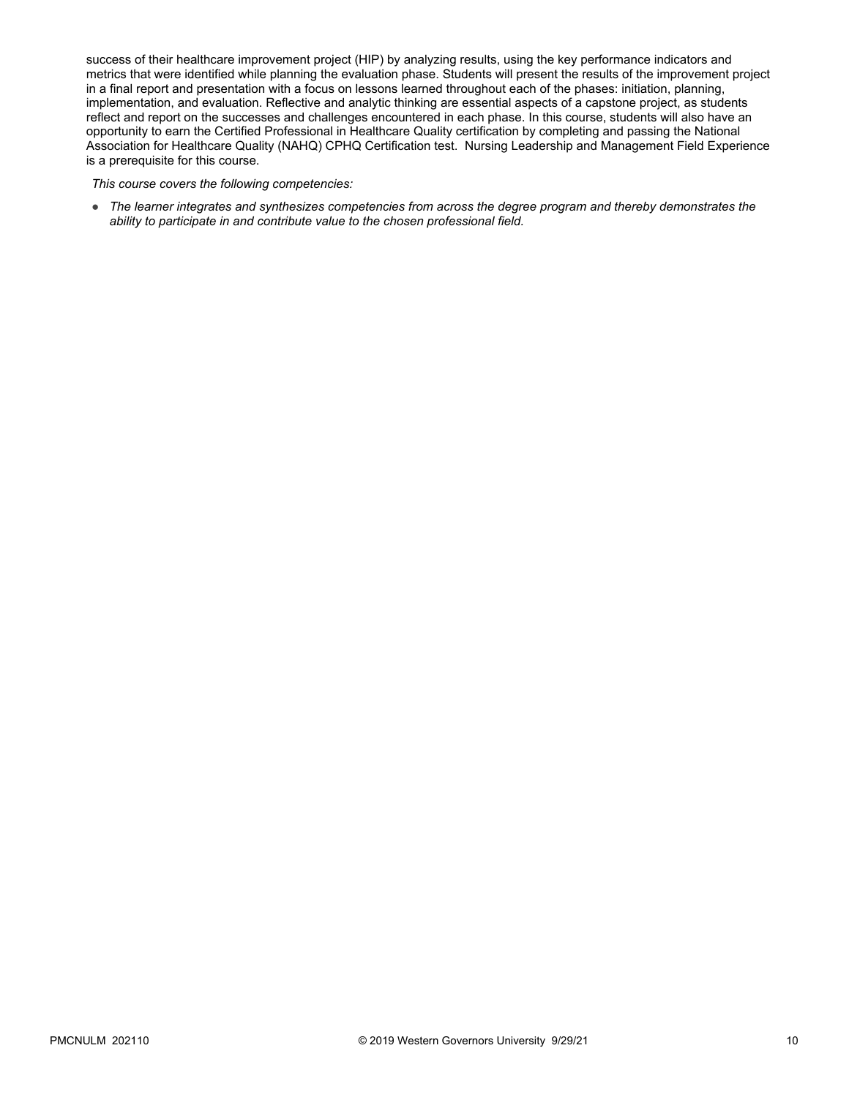success of their healthcare improvement project (HIP) by analyzing results, using the key performance indicators and metrics that were identified while planning the evaluation phase. Students will present the results of the improvement project in a final report and presentation with a focus on lessons learned throughout each of the phases: initiation, planning, implementation, and evaluation. Reflective and analytic thinking are essential aspects of a capstone project, as students reflect and report on the successes and challenges encountered in each phase. In this course, students will also have an opportunity to earn the Certified Professional in Healthcare Quality certification by completing and passing the National Association for Healthcare Quality (NAHQ) CPHQ Certification test. Nursing Leadership and Management Field Experience is a prerequisite for this course.

*This course covers the following competencies:*

● *The learner integrates and synthesizes competencies from across the degree program and thereby demonstrates the ability to participate in and contribute value to the chosen professional field.*